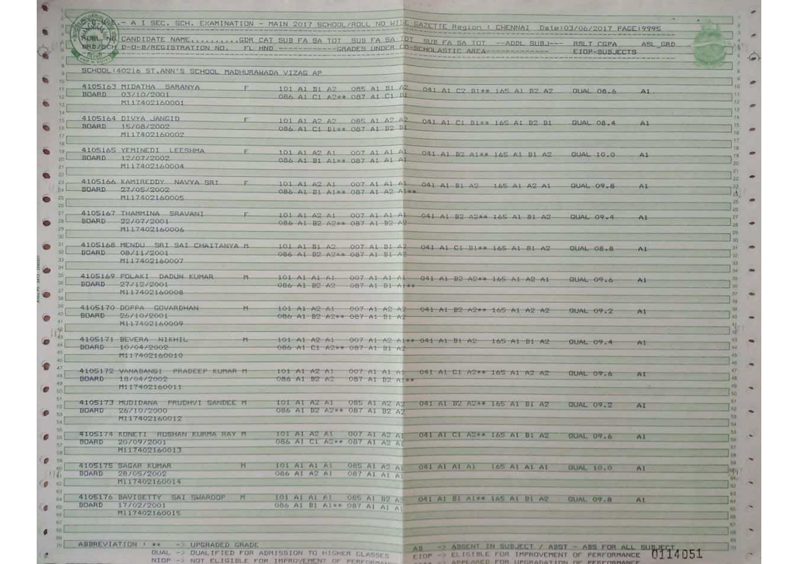|              | RUNA NO CANDIDATE NAME, GDR CAT SUB FA SA TOT SUB FA SA IDI SUB FA SA TOT -- ADDL SUBJ--- RSLT CGPA |                                     |                                                                                       |                                    |              |                                                                 | EIGR-SUBJECTS     | ASL GRD        |  |
|--------------|-----------------------------------------------------------------------------------------------------|-------------------------------------|---------------------------------------------------------------------------------------|------------------------------------|--------------|-----------------------------------------------------------------|-------------------|----------------|--|
|              | SCHOOL:40216 ST.ANN'S SCHOOL MADHURAWADA VIZAG AP                                                   |                                     |                                                                                       |                                    |              |                                                                 |                   |                |  |
|              | 4105163 MIDATHA SARANYA<br>BOARD 03/10/2001<br>M117402160001                                        | 100                                 | OR& A1 C1 A2** OR7 A1 C1 BL                                                           |                                    |              | 101 A1 B1 A2 085 A1 B1 A2 041 A1 C2 B1++ 165 A1 B2 A2           | <b>OUN OR-A</b>   |                |  |
|              | 4105164 DIVYA JANGID<br>BDARD 15/08/2002<br>M117402160002                                           | 1972                                | 086 A1 C1 Bl == 087 A1 B2 FL                                                          |                                    |              | 101 A1 A2 A2 085 A1 A2 A2 041 A1 C1 B1++ 165 A1 B2 B1 BUAL 08.4 |                   | A1             |  |
|              | 4105165 YEMINED1 LEESHMA<br>BOARD 12/07/2002<br>M117402160004                                       | F                                   | 086 A1 B1 A1== 087 A1 A1 A1                                                           |                                    |              | 101 At A2 A1 007 A1 A1 A1 031 A1 B2 A1== 165 A1 B1 A2           | GUAL 10.0         | 41.            |  |
|              | A105166 KAMIREDDY NAVYA SRI<br>BDARD 27/05/2002<br>MI17402160005                                    | <b>STRAIN</b>                       | OB6 Al B1 Alss OB7 Al A2 Alss                                                         |                                    |              | 101 A1 A2 A1 007 A1 A1 A1 041 A1 B1 A2 165 A1 A2 A1             | $QUAL-09.8$       | A1             |  |
| $27 -$       | A105167 THAMMINA SRAVANI<br>BOARD 22/07/2001<br>MI17402160006                                       | <b>The Contract of the Contract</b> | 086 Al B2 A2** 087 Al B2 A2                                                           |                                    |              | 101 A1 A2 A1 007 A1 A1 A1 041 A1 B2 A24* 165 A1 B1 A2 0UAL 09.4 |                   | $-44 -$        |  |
|              | 4105168 MENDU SRI SAI CHAITANYA M<br>BOARD 08/11/2001<br>M117402160007                              |                                     | 086 A1 82 A2== 087 A1 81 A2                                                           |                                    |              | 101 A1 81 A2 007 A1 81 A2 041 A1 C1 81== 165 A1 81 A2 0UAL 08.8 |                   | A <sub>1</sub> |  |
|              | 4105169 POLAKI DADUN KUMAR<br>BOARD 27/12/2001<br>M117402160008                                     | $M_{\odot}$                         | 086 A1 B2 A2 087 A1 B1 Af##                                                           |                                    |              | 101 A1 A1 A1 007 A1 A1 A1 041 A1 82 A244 165 A1 A2 A1 0UAL 09.6 |                   | A1             |  |
|              | 4105170-DOPPA GOVARDHAN<br>BDARD 26/10/2001-<br>4117402160009                                       | $-14$                               | 086 A1 82 A2** 087 A1 B1 A2                                                           |                                    |              | 101 A1 A2 A1 007 A1 A2 A2 041 A1 B2 A2** 165 A1 A2 A2           | <b>BUAL 09.2</b>  | AT             |  |
|              | 4105171 BEVERA NIKHIL<br>BOARD 10/04/2002<br>M117402160010                                          | $+1$                                | 086 A1 C1 A2** 087 A1 B1 A2                                                           |                                    |              | 101 A1 A2 A1 007 A1 A2 A1 + 041 A1 B1 A2 165 A1 B1 A2           | <b>OUAL 09-4</b>  | 9421           |  |
|              | 4105172 VANABANGI PRADEEP KUMAR M<br>BDARD 18/04/2002<br>M117402160011                              |                                     | 101 A1 A2 A1 007 A1 A1 A1 001 A1 C1 A2** 165 A1 A2 A2<br>086 A1 02 A2                 | OB7 A1 D2 At #                     |              |                                                                 | QUAL 07.8         | N <sub>2</sub> |  |
|              | 4105173 MUDIDANA PRUDHVI SANDEE M<br>BOARD 26/10/2000<br>M117402160012                              |                                     | 101 A1 AZ A1 085 A1 A2 A2 041 A1 B2 A2 ** 165 A1 B1 A2<br>086 A1 DZ A2** 087 A1 B2 A2 |                                    |              |                                                                 | QUAL 09.2         | A <sub>1</sub> |  |
| <b>BUARD</b> | 4105174 KONETI ROSHAN KURMA RAY M<br>20/09/2001<br>MI17402160013                                    |                                     | TOI AT AZ AT 007 AT AZ AE<br>086 AI CI AZ = 087 AI AZ AI                              |                                    |              | 041 BI WI BEFF 105 BI BI AZ                                     | QUAL 09.6         | WI             |  |
| <b>BOARD</b> | 4105175 SAGAR KUMAR<br>28/05/2002<br>MI17402160014                                                  | Ħ                                   | 101 AL A1 A1<br>086 A1 A2 A1                                                          | <b>985 A1 A2 A1</b><br>087 A1 A1 A | 041 AI AI AI | 165 A1 A1 A1                                                    | <b>CIUAL 10.0</b> | A1             |  |
| <b>BOARD</b> | 4105176 BAVISETTY SAI SWARDOP<br>17/02/2001<br>M117402160015                                        | m                                   | TOT AT AT AT 085 AT B2 AT<br>GB6 A1 B1 A1 == OB7 A1 A1 A1                             |                                    |              | 041 A1 B1 A1## 165 A1 B1 A2                                     | <b>CIUAL 09.8</b> | A1             |  |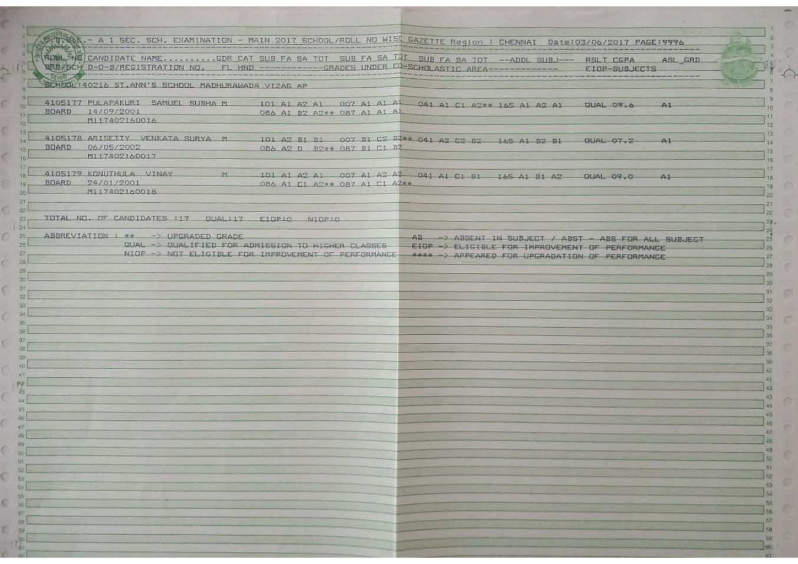| 0.0.4%K.- A I SEC. SCH. EXAMINATION - MAIN 2017 SCHOOL/ROLL NO WISE GAZETTE Region : CHENNAI Date:03/06/2017 PAGE:9996 |                                                                                                         |
|------------------------------------------------------------------------------------------------------------------------|---------------------------------------------------------------------------------------------------------|
| RENL NO CANDIDATE NAMEGDR CAT SUB FA SA TOT SUB FA SA TUL SUB FA SA TOT -- ADDL SUBJ--- RSLT CGPA                      |                                                                                                         |
|                                                                                                                        | ASL GRD<br>EIOP-SUBJECTS                                                                                |
| SCHOOL: 40216 ST.ANN'S SCHOOL MADHURAWADA VIZAE AP                                                                     |                                                                                                         |
|                                                                                                                        |                                                                                                         |
| 4105177 PULAPAKURI SAMUEL SUBHA M<br>BOARD 14/09/2001<br>086 A1 B2 A2** 087 A1 A1 A1                                   | 101 A1 A2 A1 007 A1 A1 A1 041 A1 C1 A2** 165 A1 A2 A1 044 07.6<br>A1                                    |
| M117402160016                                                                                                          |                                                                                                         |
| 4105178 ARISETTY VENKATA SURYA M                                                                                       | 101 AZ 81 B1 007 B1 CZ 82** 041 AZ CZ 82 165 A1 BZ B1<br>QUAL 07.2<br>A1                                |
| BUARD 06/05/2002<br>OB6 AZ D BZ** OB7 B1 C1 BZ<br>M117402160017                                                        |                                                                                                         |
| 4105179 KONUTHULA VINAY<br>$11 -$                                                                                      | 101 A1 A2 A1 007 A1 A2 A2 041 A1 C1 B1 165 A1 B1 A2 0UAL 09.0<br>$A1 -$                                 |
| BDARD 24/01/2001<br>086 A1 C1 A7** 087 A1 C1 A7**<br>M117402160018                                                     |                                                                                                         |
|                                                                                                                        |                                                                                                         |
|                                                                                                                        |                                                                                                         |
|                                                                                                                        |                                                                                                         |
| ABBREVIATION : ** -> UPGRADED GRADE<br>QUAL -> QUALIFIED FOR ADMISSION TO HIGHER CLASSES                               | AB -> ABSENT IN SUBJECT / ABST - ABS FOR ALL SUBJECT<br>EIGR -> ELIGIBLE FOR IMPROVEMENT OF PERFORMANCE |
|                                                                                                                        | NIOP -> NOT ELIGIBLE FOR IMPROVEMENT OF PERFORMANCE - 4444 -> APPEARED FOR UPGRADATION OF PERFORMANCE   |
|                                                                                                                        |                                                                                                         |
|                                                                                                                        |                                                                                                         |
|                                                                                                                        |                                                                                                         |
|                                                                                                                        |                                                                                                         |
|                                                                                                                        |                                                                                                         |
|                                                                                                                        |                                                                                                         |
|                                                                                                                        |                                                                                                         |
|                                                                                                                        |                                                                                                         |
|                                                                                                                        |                                                                                                         |
|                                                                                                                        |                                                                                                         |
|                                                                                                                        |                                                                                                         |
|                                                                                                                        |                                                                                                         |
|                                                                                                                        |                                                                                                         |
|                                                                                                                        |                                                                                                         |
|                                                                                                                        |                                                                                                         |
|                                                                                                                        |                                                                                                         |
|                                                                                                                        |                                                                                                         |
|                                                                                                                        |                                                                                                         |
|                                                                                                                        |                                                                                                         |
|                                                                                                                        |                                                                                                         |
|                                                                                                                        |                                                                                                         |
|                                                                                                                        |                                                                                                         |

o p

Ċ

¢

è

ċ

 $\begin{array}{ccccc}\n\bullet & \bullet & \bullet\n\end{array}$ 

C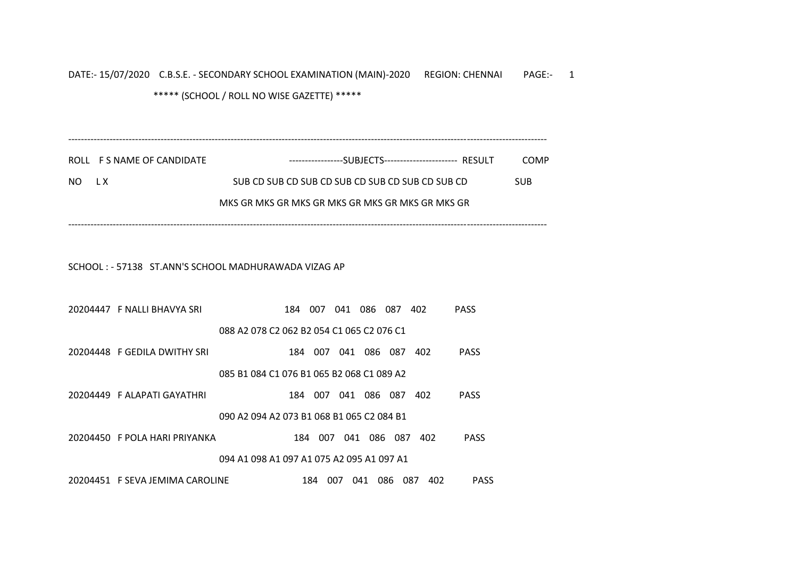# DATE:- 15/07/2020 C.B.S.E. - SECONDARY SCHOOL EXAMINATION (MAIN)-2020 REGION: CHENNAI PAGE:- 1 \*\*\*\*\* (SCHOOL / ROLL NO WISE GAZETTE) \*\*\*\*\*

------------------------------------------------------------------------------------------------------------------------------------------------------ ROLL FS NAME OF CANDIDATE ------------------------SUBJECTS----------------------- RESULT COMP NO LX SUB CD SUB CD SUB CD SUB CD SUB CD SUB CD SUB CD SUB CD SUB CD MKS GR MKS GR MKS GR MKS GR MKS GR MKS GR MKS GR

------------------------------------------------------------------------------------------------------------------------------------------------------

SCHOOL : - 57138 ST.ANN'S SCHOOL MADHURAWADA VIZAG AP

- 20204447 F NALLI BHAVYA SRI 184 007 041 086 087 402 PASS 088 A2 078 C2 062 B2 054 C1 065 C2 076 C1 20204448 F GEDILA DWITHY SRI 184 007 041 086 087 402 PASS 085 B1 084 C1 076 B1 065 B2 068 C1 089 A2 20204449 F ALAPATI GAYATHRI 184 007 041 086 087 402 PASS 090 A2 094 A2 073 B1 068 B1 065 C2 084 B1 20204450 F POLA HARI PRIYANKA 184 007 041 086 087 402 PASS 094 A1 098 A1 097 A1 075 A2 095 A1 097 A1
- 20204451 F SEVA JEMIMA CAROLINE 184 007 041 086 087 402 PASS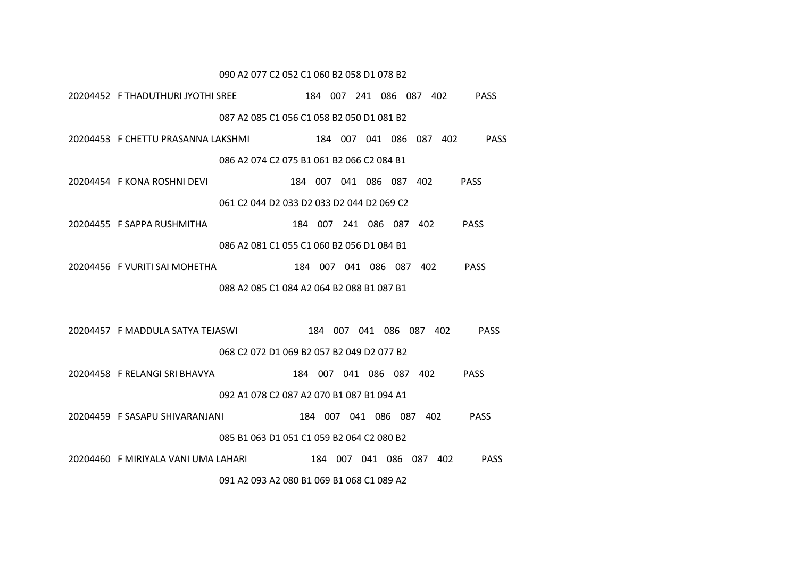### 090 A2 077 C2 052 C1 060 B2 058 D1 078 B2

- 20204452 F THADUTHURI JYOTHI SREE 184 007 241 086 087 402 PASS 087 A2 085 C1 056 C1 058 B2 050 D1 081 B2
- 20204453 F CHETTU PRASANNA LAKSHMI 184 007 041 086 087 402 PASS 086 A2 074 C2 075 B1 061 B2 066 C2 084 B1
- 20204454 F KONA ROSHNI DEVI 184 007 041 086 087 402 PASS 061 C2 044 D2 033 D2 033 D2 044 D2 069 C2
- 20204455 F SAPPA RUSHMITHA 184 007 241 086 087 402 PASS

086 A2 081 C1 055 C1 060 B2 056 D1 084 B1

- 20204456 F VURITI SAI MOHETHA 184 007 041 086 087 402 PASS 088 A2 085 C1 084 A2 064 B2 088 B1 087 B1
- 20204457 F MADDULA SATYA TEJASWI 184 007 041 086 087 402 PASS 068 C2 072 D1 069 B2 057 B2 049 D2 077 B2
- 20204458 F RELANGI SRI BHAVYA 184 007 041 086 087 402 PASS

092 A1 078 C2 087 A2 070 B1 087 B1 094 A1

20204459 F SASAPU SHIVARANJANI 184 007 041 086 087 402 PASS

085 B1 063 D1 051 C1 059 B2 064 C2 080 B2

20204460 F MIRIYALA VANI UMA LAHARI 184 007 041 086 087 402 PASS

091 A2 093 A2 080 B1 069 B1 068 C1 089 A2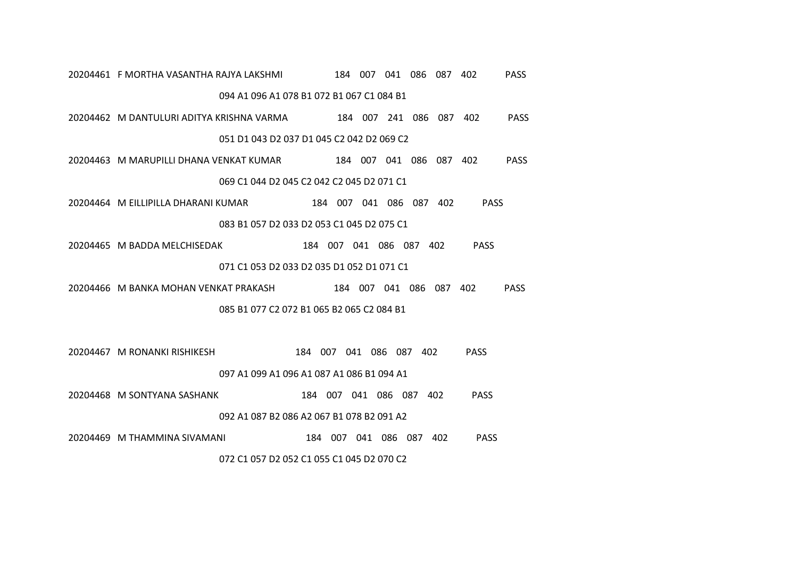- 20204461 F MORTHA VASANTHA RAJYA LAKSHMI 184 007 041 086 087 402 PASS 094 A1 096 A1 078 B1 072 B1 067 C1 084 B1
- 20204462 M DANTULURI ADITYA KRISHNA VARMA 184 007 241 086 087 402 PASS 051 D1 043 D2 037 D1 045 C2 042 D2 069 C2

20204463 M MARUPILLI DHANA VENKAT KUMAR 184 007 041 086 087 402 PASS

069 C1 044 D2 045 C2 042 C2 045 D2 071 C1

20204464 M EILLIPILLA DHARANI KUMAR 184 007 041 086 087 402 PASS

083 B1 057 D2 033 D2 053 C1 045 D2 075 C1

- 20204465 M BADDA MELCHISEDAK 184 007 041 086 087 402 PASS 071 C1 053 D2 033 D2 035 D1 052 D1 071 C1
- 20204466 M BANKA MOHAN VENKAT PRAKASH 184 007 041 086 087 402 PASS

085 B1 077 C2 072 B1 065 B2 065 C2 084 B1

- 20204467 M RONANKI RISHIKESH 184 007 041 086 087 402 PASS 097 A1 099 A1 096 A1 087 A1 086 B1 094 A1
- 20204468 M SONTYANA SASHANK 184 007 041 086 087 402 PASS

092 A1 087 B2 086 A2 067 B1 078 B2 091 A2

20204469 M THAMMINA SIVAMANI 184 007 041 086 087 402 PASS

072 C1 057 D2 052 C1 055 C1 045 D2 070 C2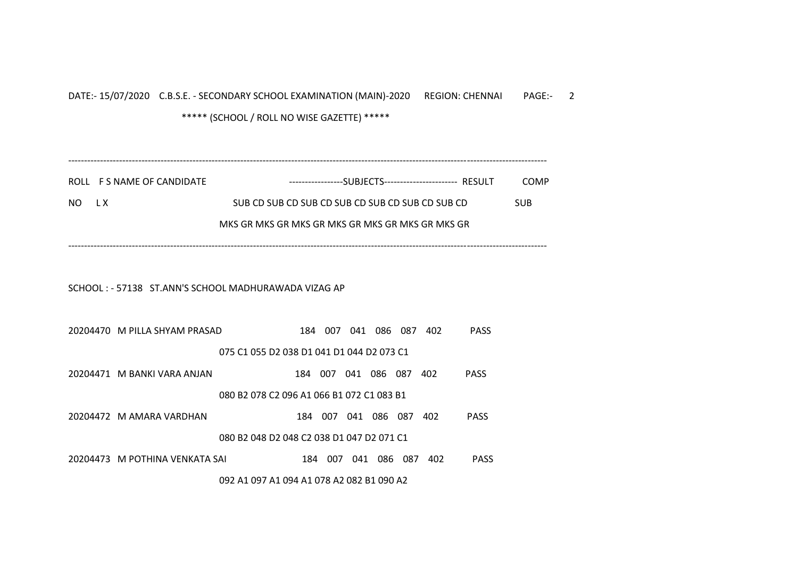DATE:- 15/07/2020 C.B.S.E. - SECONDARY SCHOOL EXAMINATION (MAIN)-2020 REGION: CHENNAI PAGE:- 2 \*\*\*\*\* (SCHOOL / ROLL NO WISE GAZETTE) \*\*\*\*\*

|       | ROLL F S NAME OF CANDIDATE |                                                  | COMP       |
|-------|----------------------------|--------------------------------------------------|------------|
| NO LX |                            | SUB CD SUB CD SUB CD SUB CD SUB CD SUB CD SUB CD | <b>SUB</b> |
|       |                            | MKS GR MKS GR MKS GR MKS GR MKS GR MKS GR MKS GR |            |

------------------------------------------------------------------------------------------------------------------------------------------------------

## SCHOOL : - 57138 ST.ANN'S SCHOOL MADHURAWADA VIZAG AP

20204470 M PILLA SHYAM PRASAD 184 007 041 086 087 402 PASS 075 C1 055 D2 038 D1 041 D1 044 D2 073 C1 20204471 M BANKI VARA ANJAN 184 007 041 086 087 402 PASS 080 B2 078 C2 096 A1 066 B1 072 C1 083 B1 20204472 M AMARA VARDHAN 184 007 041 086 087 402 PASS 080 B2 048 D2 048 C2 038 D1 047 D2 071 C1 20204473 M POTHINA VENKATA SAI 184 007 041 086 087 402 PASS

092 A1 097 A1 094 A1 078 A2 082 B1 090 A2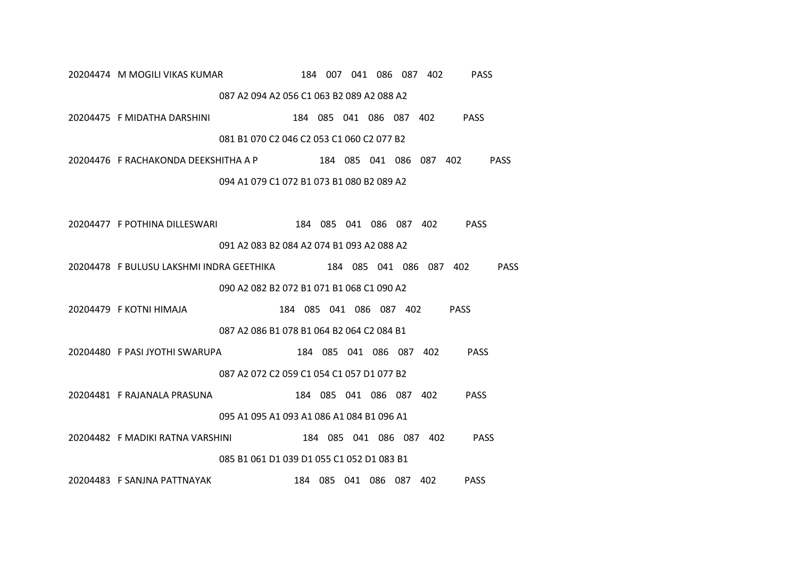- 20204474 M MOGILI VIKAS KUMAR 184 007 041 086 087 402 PASS 087 A2 094 A2 056 C1 063 B2 089 A2 088 A2
- 20204475 F MIDATHA DARSHINI 184 085 041 086 087 402 PASS

081 B1 070 C2 046 C2 053 C1 060 C2 077 B2

- 20204476 F RACHAKONDA DEEKSHITHA A P 184 085 041 086 087 402 PASS 094 A1 079 C1 072 B1 073 B1 080 B2 089 A2
- 20204477 F POTHINA DILLESWARI 184 085 041 086 087 402 PASS 091 A2 083 B2 084 A2 074 B1 093 A2 088 A2
- 20204478 F BULUSU LAKSHMI INDRA GEETHIKA 184 085 041 086 087 402 PASS 090 A2 082 B2 072 B1 071 B1 068 C1 090 A2
- 20204479 F KOTNI HIMAJA 184 085 041 086 087 402 PASS

087 A2 086 B1 078 B1 064 B2 064 C2 084 B1

- 20204480 F PASI JYOTHI SWARUPA 184 085 041 086 087 402 PASS 087 A2 072 C2 059 C1 054 C1 057 D1 077 B2
- 20204481 F RAJANALA PRASUNA 184 085 041 086 087 402 PASS

095 A1 095 A1 093 A1 086 A1 084 B1 096 A1

20204482 F MADIKI RATNA VARSHINI 184 085 041 086 087 402 PASS

085 B1 061 D1 039 D1 055 C1 052 D1 083 B1

20204483 F SANJNA PATTNAYAK 184 085 041 086 087 402 PASS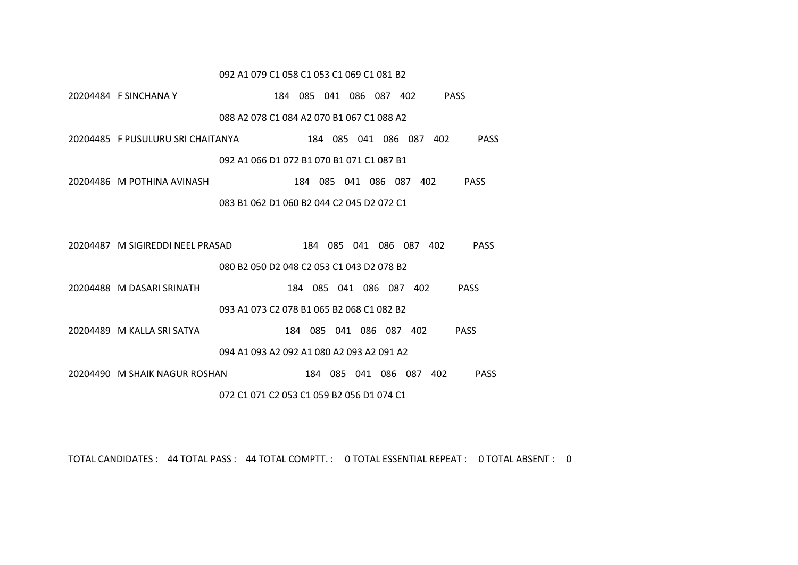### 092 A1 079 C1 058 C1 053 C1 069 C1 081 B2

- 20204484 F SINCHANA Y 184 085 041 086 087 402 PASS 088 A2 078 C1 084 A2 070 B1 067 C1 088 A2
- 20204485 F PUSULURU SRI CHAITANYA 184 085 041 086 087 402 PASS 092 A1 066 D1 072 B1 070 B1 071 C1 087 B1
- 20204486 M POTHINA AVINASH 184 085 041 086 087 402 PASS

## 083 B1 062 D1 060 B2 044 C2 045 D2 072 C1

- 20204487 M SIGIREDDI NEEL PRASAD 184 085 041 086 087 402 PASS 080 B2 050 D2 048 C2 053 C1 043 D2 078 B2
- 20204488 M DASARI SRINATH 184 085 041 086 087 402 PASS 093 A1 073 C2 078 B1 065 B2 068 C1 082 B2
- 20204489 M KALLA SRI SATYA 184 085 041 086 087 402 PASS

094 A1 093 A2 092 A1 080 A2 093 A2 091 A2

20204490 M SHAIK NAGUR ROSHAN 184 085 041 086 087 402 PASS

072 C1 071 C2 053 C1 059 B2 056 D1 074 C1

TOTAL CANDIDATES : 44 TOTAL PASS : 44 TOTAL COMPTT. : 0 TOTAL ESSENTIAL REPEAT : 0 TOTAL ABSENT : 0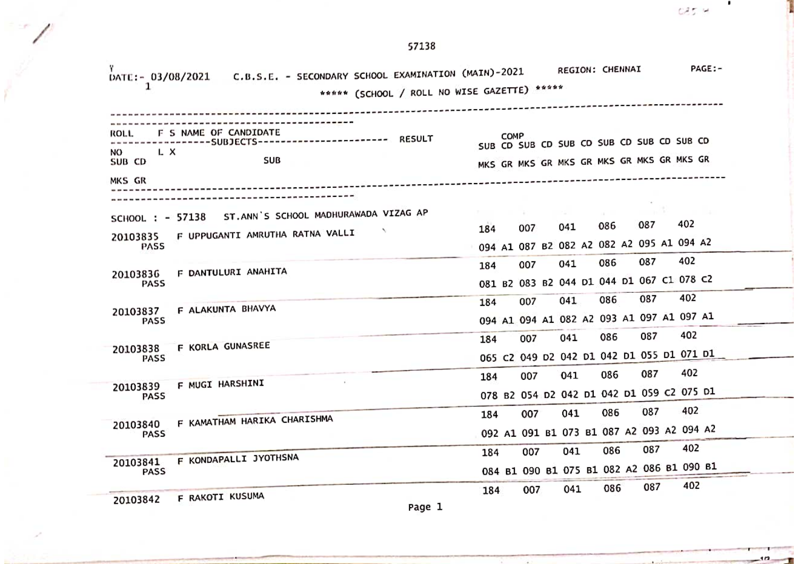$0.85$  M

٠

57138

 $\tau \sim \rho$ 

| DATE:- 03/08/2021     | C.B.S.E. - SECONDARY SCHOOL EXAMINATION (MAIN)-2021                  |                                           |       |     | REGION: CHENNAI                                  |     |     |     | PAGE:- |
|-----------------------|----------------------------------------------------------------------|-------------------------------------------|-------|-----|--------------------------------------------------|-----|-----|-----|--------|
|                       | ***** (SCHOOL / ROLL NO WISE GAZETTE) *****                          |                                           |       |     |                                                  |     |     |     |        |
|                       |                                                                      |                                           |       |     |                                                  |     |     |     |        |
| ROLL                  | F S NAME OF CANDIDATE<br>----SUBJECTS------------------------ RESULT | SUB CD SUB CD SUB CD SUB CD SUB CD SUB CD | COMP. |     |                                                  |     |     |     |        |
| L X.<br>NO.<br>SUB CD | SUB                                                                  | MKS GR MKS GR MKS GR MKS GR MKS GR MKS GR |       |     |                                                  |     |     |     |        |
| MKS GR                |                                                                      |                                           |       |     |                                                  |     |     |     |        |
|                       |                                                                      |                                           |       |     |                                                  |     |     |     |        |
| SCHOOL: - 57138       | ST.ANN'S SCHOOL MADHURAWADA VIZAG AP<br>- 5                          | 184                                       |       | 007 | 041                                              | 086 | 087 | 402 |        |
| 20103835<br>PASS      | F UPPUGANTI AMRUTHA RATNA VALLI                                      |                                           |       |     | 094 A1 087 B2 082 A2 082 A2 095 A1 094 A2        |     |     |     |        |
| 20103836              | F DANTULURI ANAHITA                                                  | 184                                       |       | 007 | 041                                              | 086 | 087 | 402 |        |
| PASS                  |                                                                      |                                           |       |     | 081 B2 083 B2 044 D1 044 D1 067 C1 078 C2        |     |     |     |        |
| 20103837              | F ALAKUNTA BHAVYA                                                    | 184                                       |       | 007 | 041                                              | 086 | 087 | 402 |        |
| PASS                  |                                                                      |                                           |       |     | 094 A1 094 A1 082 A2 093 A1 097 A1 097 A1        |     |     |     |        |
| 20103838              | F KORLA GUNASREE                                                     | 184                                       |       | 007 | 041                                              | 086 | 087 | 402 |        |
| PASS                  |                                                                      |                                           |       |     | 065 C2 049 D2 042 D1 042 D1 055 D1 071 D1        |     | 087 | 402 |        |
| 20103839              | F MUGI HARSHINI                                                      | 184                                       |       | 007 | 041<br>078 B2 054 D2 042 D1 042 D1 059 C2 075 D1 | 086 |     |     |        |
| PASS                  |                                                                      |                                           |       |     | 041                                              | 086 | 087 | 402 |        |
| 20103840              | F KAMATHAM HARIKA CHARISHMA                                          | 184                                       |       | 007 | 092 A1 091 B1 073 B1 087 A2 093 A2 094 A2        |     |     |     |        |
| <b>PASS</b>           |                                                                      | 184                                       |       | 007 | 041                                              | 086 | 087 | 402 |        |
| 20103841<br>PASS      | F KONDAPALLI JYOTHSNA                                                |                                           |       |     | 084 B1 090 B1 075 B1 082 A2 086 B1 090 B1        |     |     |     |        |
|                       |                                                                      | 184                                       |       | 007 | 041                                              | 086 | 087 | 402 |        |
| 20103842              | F RAKOTI KUSUMA                                                      |                                           |       |     |                                                  |     |     |     |        |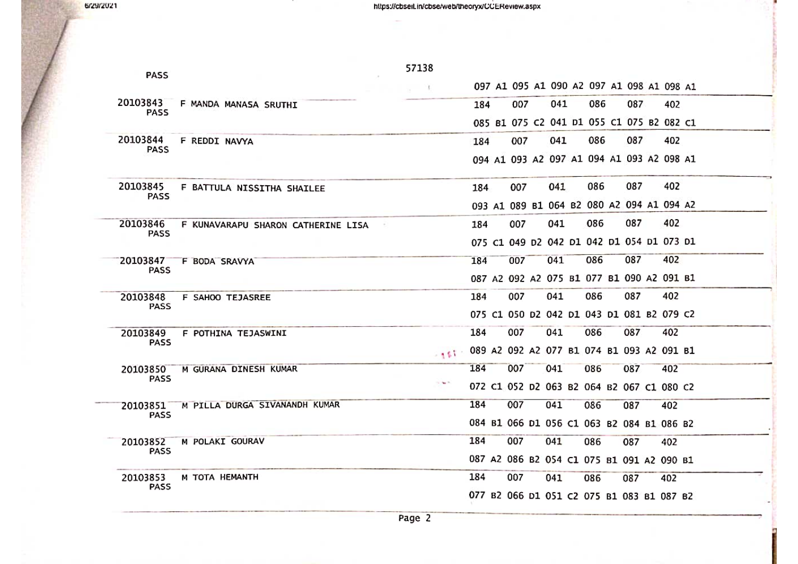6/29/2021

https://cbseit.in/cbse/web/theoryx/CCEReview.aspx

| PASS                    |                                    | 57138         |                                           |                                           |     |     |     |     |  |
|-------------------------|------------------------------------|---------------|-------------------------------------------|-------------------------------------------|-----|-----|-----|-----|--|
|                         |                                    | $\mathcal{L}$ |                                           | 097 A1 095 A1 090 A2 097 A1 098 A1 098 A1 |     |     |     |     |  |
| 20103843<br>PASS        | F MANDA MANASA SRUTHI              |               | 184                                       | 007                                       | 041 | 086 | 087 | 402 |  |
|                         |                                    |               |                                           | 085 B1 075 C2 041 D1 055 C1 075 B2 082 C1 |     |     |     |     |  |
| 20103844<br><b>PASS</b> | F REDDI NAVYA                      |               | 184                                       | 007                                       | 041 | 086 | 087 | 402 |  |
|                         |                                    |               |                                           | 094 A1 093 A2 097 A1 094 A1 093 A2 098 A1 |     |     |     |     |  |
| 20103845<br><b>PASS</b> | F BATTULA NISSITHA SHAILEE         |               | 184                                       | 007                                       | 041 | 086 | 087 | 402 |  |
|                         |                                    |               |                                           | 093 A1 089 B1 064 B2 080 A2 094 A1 094 A2 |     |     |     |     |  |
| 20103846                | F KUNAVARAPU SHARON CATHERINE LISA |               | 184                                       | 007                                       | 041 | 086 | 087 | 402 |  |
| PASS                    |                                    |               |                                           | 075 C1 049 D2 042 D1 042 D1 054 D1 073 D1 |     |     |     |     |  |
| 20103847                | F BODA SRAVYA                      |               | 184                                       | 007                                       | 041 | 086 | 087 | 402 |  |
| <b>PASS</b>             |                                    |               |                                           | 087 A2 092 A2 075 B1 077 B1 090 A2 091 B1 |     |     |     |     |  |
| 20103848<br>PASS        | F SAHOO TEJASREE                   |               | 184                                       | 007                                       | 041 | 086 | 087 | 402 |  |
|                         |                                    |               |                                           | 075 C1 050 D2 042 D1 043 D1 081 B2 079 C2 |     |     |     |     |  |
| 20103849<br>PASS        | F POTHINA TEJASWINI                |               | 184                                       | 007                                       | 041 | 086 | 087 | 402 |  |
|                         |                                    | $-151$        | 089 A2 092 A2 077 B1 074 B1 093 A2 091 B1 |                                           |     |     |     |     |  |
| 20103850<br>PASS        | M GURANA DINESH KUMAR              |               | 184                                       | 007                                       | 041 | 086 | 087 | 402 |  |
|                         |                                    | 11.50         | 072 C1 052 D2 063 B2 064 B2 067 C1 080 C2 |                                           |     |     |     |     |  |
| 20103851<br>PASS        | M PILLA DURGA SIVANANDH KUMAR      |               | 184                                       | 007                                       | 041 | 086 | 087 | 402 |  |
|                         |                                    |               | 084 B1 066 D1 056 C1 063 B2 084 B1 086 B2 |                                           |     |     |     |     |  |
| 20103852<br><b>PASS</b> | M POLAKI GOURAV                    |               | 184                                       | 007                                       | 041 | 086 | 087 | 402 |  |
|                         |                                    |               | 087 A2 086 B2 054 C1 075 B1 091 A2 090 B1 |                                           |     |     |     |     |  |
| 20103853<br>PASS        | M TOTA HEMANTH                     |               | 184                                       | 007                                       | 041 | 086 | 087 | 402 |  |
|                         |                                    |               | 077 B2 066 D1 051 C2 075 B1 083 B1 087 B2 |                                           |     |     |     |     |  |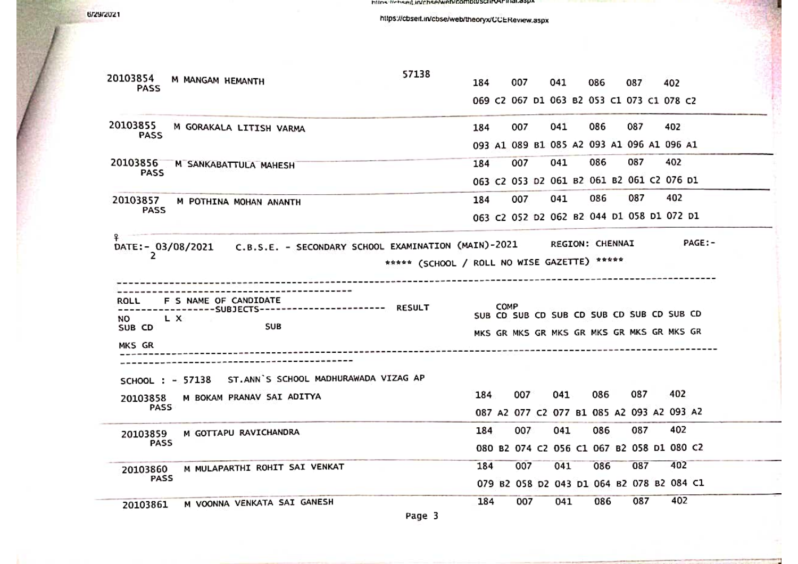6/29/2021

https://chseit.in/chse/web/comptuschrysritial.aspx https://cbsert.in/cbse/web/theoryx/CCEReview.aspx

| 20103854                | M MANGAM HEMANTH      |                                                                     | 57138                                       | 184 |      | 007 | 041                                       | 086 | 087 | 402 |              |  |
|-------------------------|-----------------------|---------------------------------------------------------------------|---------------------------------------------|-----|------|-----|-------------------------------------------|-----|-----|-----|--------------|--|
| PASS                    |                       |                                                                     |                                             |     |      |     | 069 C2 067 D1 063 B2 053 C1 073 C1 078 C2 |     |     |     |              |  |
| 20103855<br><b>PASS</b> |                       | M GORAKALA LITISH VARMA                                             |                                             | 184 |      | 007 | 041                                       | 086 | 087 | 402 |              |  |
|                         |                       |                                                                     |                                             |     |      |     | 093 A1 089 B1 085 A2 093 A1 096 A1 096 A1 |     |     |     |              |  |
| 20103856<br><b>PASS</b> |                       | M SANKABATTULA MAHESH                                               |                                             | 184 |      | 007 | 041                                       | 086 | 087 | 402 |              |  |
|                         |                       |                                                                     |                                             |     |      |     | 063 C2 053 D2 061 B2 061 B2 061 C2 076 D1 |     |     |     |              |  |
| 20103857                |                       | M POTHINA MOHAN ANANTH                                              |                                             | 184 |      | 007 | 041                                       | 086 | 087 | 402 |              |  |
| PASS                    |                       |                                                                     |                                             |     |      |     | 063 C2 052 D2 062 B2 044 D1 058 D1 072 D1 |     |     |     |              |  |
| ¥.                      | DATE:- 03/08/2021     | C.B.S.E. - SECONDARY SCHOOL EXAMINATION (MAIN)-2021 REGION: CHENNAI |                                             |     |      |     |                                           |     |     |     | <b>PAGE:</b> |  |
| $\mathcal{L}$           |                       |                                                                     | ***** (SCHOOL / ROLL NO WISE GAZETTE) ***** |     |      |     |                                           |     |     |     |              |  |
|                         |                       |                                                                     |                                             |     |      |     |                                           |     |     |     |              |  |
| ROLL                    | F S NAME OF CANDIDATE |                                                                     |                                             |     | COMP |     |                                           |     |     |     |              |  |
| NO                      | LX.                   |                                                                     |                                             |     |      |     | SUB CD SUB CD SUB CD SUB CD SUB CD SUB CD |     |     |     |              |  |
| SUB CD                  |                       | <b>SUB</b>                                                          |                                             |     |      |     | MKS GR MKS GR MKS GR MKS GR MKS GR MKS GR |     |     |     |              |  |
| MKS GR                  |                       |                                                                     |                                             |     |      |     |                                           |     |     |     |              |  |
|                         |                       | SCHOOL : - 57138 ST.ANN'S SCHOOL MADHURAWADA VIZAG AP               |                                             |     |      |     |                                           |     |     |     |              |  |
| 20103858                |                       | M BOKAM PRANAV SAI ADITYA                                           |                                             | 184 |      | 007 | 041                                       | 086 | 087 | 402 |              |  |
| PASS                    |                       |                                                                     |                                             |     |      |     | 087 A2 077 C2 077 B1 085 A2 093 A2 093 A2 |     |     |     |              |  |
| 20103859                |                       | M GOTTAPU RAVICHANDRA                                               |                                             | 184 |      | 007 | 041                                       | 086 | 087 | 402 |              |  |
| PASS                    |                       |                                                                     |                                             |     |      |     | 080 B2 074 C2 056 C1 067 B2 058 D1 080 C2 |     |     |     |              |  |
| 20103860                |                       | M MULAPARTHI ROHIT SAI VENKAT                                       |                                             | 184 |      | 007 | 041                                       | 086 | 087 | 402 |              |  |
| PASS                    |                       |                                                                     |                                             |     |      |     | 079 B2 058 D2 043 D1 064 B2 078 B2 084 C1 |     |     |     |              |  |
| 20103861                |                       | M VOONNA VENKATA SAI GANESH                                         |                                             | 184 |      | 007 | 041                                       | 086 | 087 | 402 |              |  |
|                         |                       |                                                                     | Page 3                                      |     |      |     |                                           |     |     |     |              |  |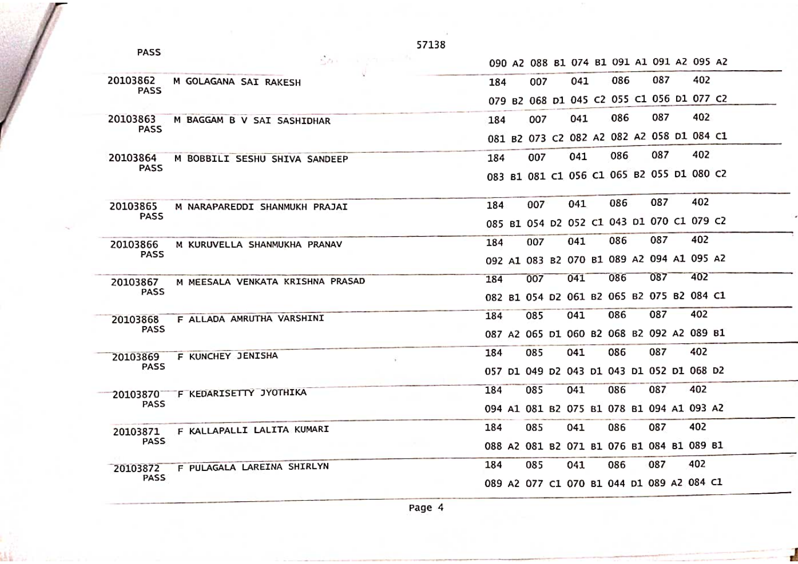| <b>PASS</b> |                                  | 57138 |                                           |     |     |                                           |     |     |  |  |
|-------------|----------------------------------|-------|-------------------------------------------|-----|-----|-------------------------------------------|-----|-----|--|--|
|             | $50 - 127 - 13$                  |       |                                           |     |     | 090 A2 088 B1 074 B1 091 A1 091 A2 095 A2 |     |     |  |  |
| 20103862    | M GOLAGANA SAI RAKESH            |       | 184                                       | 007 | 041 | 086                                       | 087 | 402 |  |  |
| <b>PASS</b> |                                  |       |                                           |     |     | 079 B2 068 D1 045 C2 055 C1 056 D1 077 C2 |     |     |  |  |
| 20103863    | M BAGGAM B V SAI SASHIDHAR       |       | 184                                       | 007 | 041 | 086                                       | 087 | 402 |  |  |
| <b>PASS</b> |                                  |       |                                           |     |     | 081 B2 073 C2 082 A2 082 A2 058 D1 084 C1 |     |     |  |  |
| 20103864    | M BOBBILI SESHU SHIVA SANDEEP    |       | 184                                       | 007 | 041 | 086                                       | 087 | 402 |  |  |
| <b>PASS</b> |                                  |       |                                           |     |     | 083 B1 081 C1 056 C1 065 B2 055 D1 080 C2 |     |     |  |  |
| 20103865    | M NARAPAREDDI SHANMUKH PRAJAI    |       | 184                                       | 007 | 041 | 086                                       | 087 | 402 |  |  |
| PASS        |                                  |       | 085 B1 054 D2 052 C1 043 D1 070 C1 079 C2 |     |     |                                           |     |     |  |  |
| 20103866    | M KURUVELLA SHANMUKHA PRANAV     |       | 184                                       | 007 | 041 | 086                                       | 087 | 402 |  |  |
| <b>PASS</b> |                                  |       | 092 A1 083 B2 070 B1 089 A2 094 A1 095 A2 |     |     |                                           |     |     |  |  |
| 20103867    | M MEESALA VENKATA KRISHNA PRASAD |       | 184                                       | 007 | 041 | 086                                       | 087 | 402 |  |  |
| PASS        |                                  |       | 082 B1 054 D2 061 B2 065 B2 075 B2 084 C1 |     |     |                                           |     |     |  |  |
| 20103868    | F ALLADA AMRUTHA VARSHINI        |       | 184                                       | 085 | 041 | 086                                       | 087 | 402 |  |  |
| <b>PASS</b> |                                  |       | 087 A2 065 D1 060 B2 068 B2 092 A2 089 B1 |     |     |                                           |     |     |  |  |
| 20103869    | F KUNCHEY JENISHA                |       | 184                                       | 085 | 041 | 086                                       | 087 | 402 |  |  |
| PASS        |                                  |       | 057 D1 049 D2 043 D1 043 D1 052 D1 068 D2 |     |     |                                           |     |     |  |  |
| 20103870    | F KEDARISETTY JYOTHIKA           |       | 184                                       | 085 | 041 | 086                                       | 087 | 402 |  |  |
| PASS        |                                  |       | 094 A1 081 B2 075 B1 078 B1 094 A1 093 A2 |     |     |                                           |     |     |  |  |
| 20103871    | F KALLAPALLI LALITA KUMARI       |       | 184                                       | 085 | 041 | 086                                       | 087 | 402 |  |  |
| PASS        |                                  |       | 088 A2 081 B2 071 B1 076 B1 084 B1 089 B1 |     |     |                                           |     |     |  |  |
| 20103872    | F PULAGALA LAREINA SHIRLYN       |       | 184                                       | 085 | 041 | 086                                       | 087 | 402 |  |  |
| PASS        |                                  |       | 089 A2 077 C1 070 B1 044 D1 089 A2 084 C1 |     |     |                                           |     |     |  |  |
|             |                                  |       |                                           |     |     |                                           |     |     |  |  |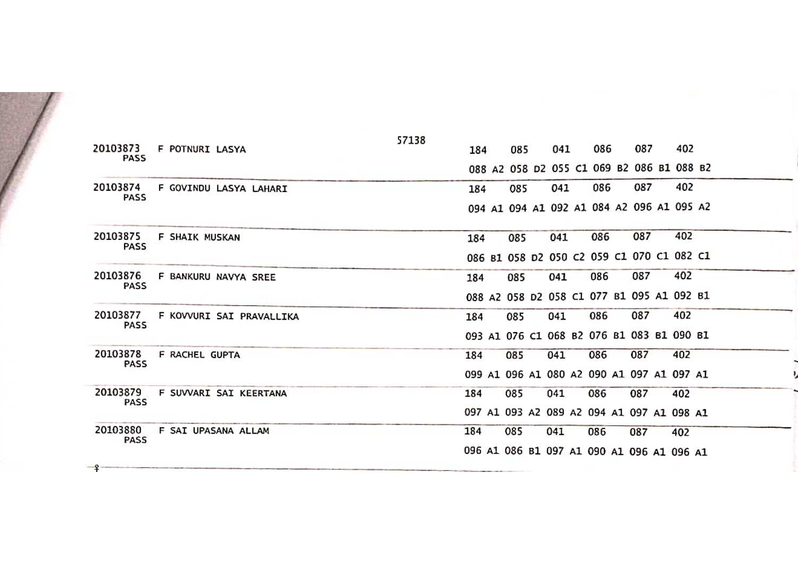| 20103873                | F POTNURI LASYA          | 57138 | 184                                       | 085 | 041 | 086 | 087                                       | 402 |  |
|-------------------------|--------------------------|-------|-------------------------------------------|-----|-----|-----|-------------------------------------------|-----|--|
| <b>PASS</b>             |                          |       |                                           |     |     |     | 088 A2 058 D2 055 C1 069 B2 086 B1 088 B2 |     |  |
| 20103874<br>PASS        | F GOVINDU LASYA LAHARI   |       | 184                                       | 085 | 041 | 086 | 087                                       | 402 |  |
|                         |                          |       |                                           |     |     |     | 094 A1 094 A1 092 A1 084 A2 096 A1 095 A2 |     |  |
| 20103875<br><b>PASS</b> | F SHAIK MUSKAN           |       | 184                                       | 085 | 041 | 086 | 087                                       | 402 |  |
|                         |                          |       |                                           |     |     |     | 086 B1 058 D2 050 C2 059 C1 070 C1 082 C1 |     |  |
| 20103876<br>PASS        | F BANKURU NAVYA SREE     |       | 184                                       | 085 | 041 | 086 | 087                                       | 402 |  |
|                         |                          |       | 088 A2 058 D2 058 C1 077 B1 095 A1 092 B1 |     |     |     |                                           |     |  |
| 20103877<br><b>PASS</b> | F KOVVURI SAI PRAVALLIKA |       | 184                                       | 085 | 041 | 086 | 087                                       | 402 |  |
|                         |                          |       | 093 A1 076 C1 068 B2 076 B1 083 B1 090 B1 |     |     |     |                                           |     |  |
| 20103878<br>PASS        | F RACHEL GUPTA           |       | 184                                       | 085 | 041 | 086 | 087                                       | 402 |  |
|                         |                          |       | 099 A1 096 A1 080 A2 090 A1 097 A1 097 A1 |     |     |     |                                           |     |  |
| 20103879<br><b>PASS</b> | F SUVVARI SAI KEERTANA   |       | 184                                       | 085 | 041 | 086 | 087                                       | 402 |  |
|                         |                          |       | 097 Al 093 A2 089 A2 094 A1 097 A1 098 A1 |     |     |     |                                           |     |  |
| 20103880<br>PASS        | F SAI UPASANA ALLAM      |       | 184                                       | 085 | 041 | 086 | 087                                       | 402 |  |
|                         |                          |       | 096 A1 086 B1 097 A1 090 A1 096 A1 096 A1 |     |     |     |                                           |     |  |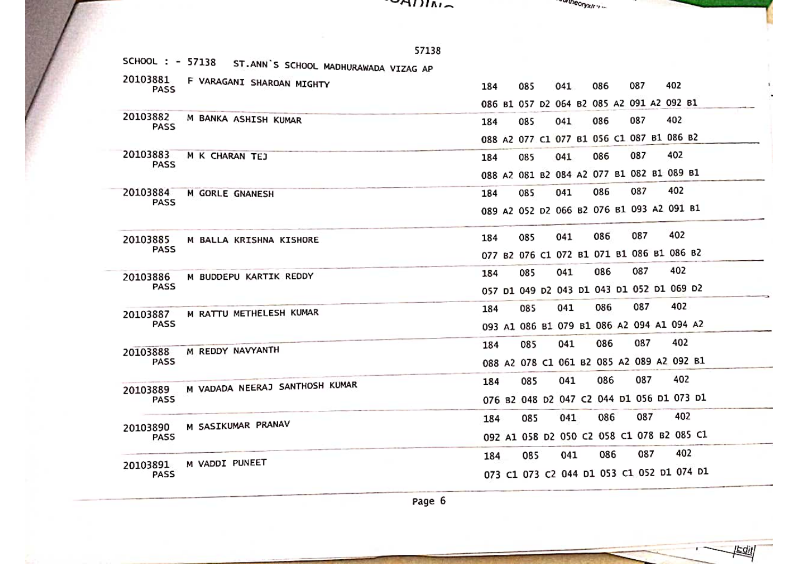$M_{\rm MII}$ 

| www.coryxit |  |
|-------------|--|
|             |  |

**Ledit** 

 $\sim$ 

|                         | 57138                                |     |     |     |     |                                           |     |  |
|-------------------------|--------------------------------------|-----|-----|-----|-----|-------------------------------------------|-----|--|
| SCHOOL : - 57138        | ST.ANN'S SCHOOL MADHURAWADA VIZAG AP |     |     |     |     |                                           |     |  |
| 20103881<br>PASS        | F VARAGANI SHAROAN MIGHTY            | 184 | 085 | 041 | 086 | 087                                       | 402 |  |
|                         |                                      |     |     |     |     | 086 B1 057 D2 064 B2 085 A2 091 A2 092 B1 |     |  |
| 20103882<br><b>PASS</b> | M BANKA ASHISH KUMAR                 | 184 | 085 | 041 | 086 | 087                                       | 402 |  |
|                         |                                      |     |     |     |     | 088 A2 077 C1 077 B1 056 C1 087 B1 086 B2 |     |  |
| 20103883<br>PASS        | M K CHARAN TEJ                       | 184 | 085 | 041 | 086 | 087                                       | 402 |  |
|                         |                                      |     |     |     |     | 088 A2 081 B2 084 A2 077 B1 082 B1 089 B1 |     |  |
| 20103884<br>PASS        | M GORLE GNANESH                      | 184 | 085 | 041 | 086 | 087                                       | 402 |  |
|                         |                                      |     |     |     |     | 089 A2 052 D2 066 B2 076 B1 093 A2 091 B1 |     |  |
| 20103885                | M BALLA KRISHNA KISHORE              | 184 | 085 | 041 | 086 | 087                                       | 402 |  |
| PASS                    |                                      |     |     |     |     | 077 B2 076 C1 072 B1 071 B1 086 B1 086 B2 |     |  |
| 20103886                | M BUDDEPU KARTIK REDDY               | 184 | 085 | 041 | 086 | 087                                       | 402 |  |
| PASS                    |                                      |     |     |     |     | 057 01 049 02 043 01 043 01 052 01 069 02 |     |  |
| 20103887                | M RATTU METHELESH KUMAR              | 184 | 085 | 041 | 086 | 087                                       | 402 |  |
| PASS                    |                                      |     |     |     |     | 093 A1 086 B1 079 B1 086 A2 094 A1 094 A2 |     |  |
| 20103888                | M REDDY NAVYANTH                     | 184 | 085 | 041 | 086 | 087                                       | 402 |  |
| <b>PASS</b>             |                                      |     |     |     |     | 088 A2 078 C1 061 B2 085 A2 089 A2 092 B1 |     |  |
| 20103889                | M VADADA NEERAJ SANTHOSH KUMAR       | 184 | 085 | 041 | 086 | 087                                       | 402 |  |
| PASS                    |                                      |     |     |     |     | 076 B2 048 D2 047 C2 044 D1 056 D1 073 D1 |     |  |
| 20103890                | M SASIKUMAR PRANAV                   | 184 | 085 | 041 | 086 | 087                                       | 402 |  |
| PASS                    |                                      |     |     |     |     | 092 A1 058 D2 050 C2 058 C1 078 B2 085 C1 |     |  |
| 20103891                | M VADDI PUNEET                       | 184 | 085 | 041 | 086 | 087                                       | 402 |  |
| PASS                    |                                      |     |     |     |     | 073 C1 073 C2 044 D1 053 C1 052 D1 074 D1 |     |  |